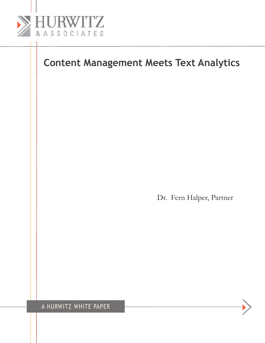

Dr. Fern Halper, Partner

A Hurwitz white Paper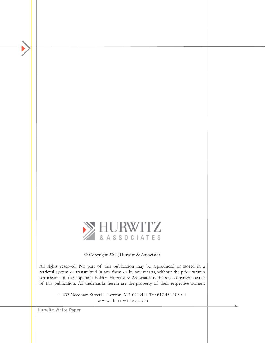

© Copyright 2009, Hurwitz & Associates

All rights reserved. No part of this publication may be reproduced or stored in a retrieval system or transmitted in any form or by any means, without the prior written permission of the copyright holder. Hurwitz & Associates is the sole copyright owner of this publication. All trademarks herein are the property of their respective owners.

> ■ 233 Needham Street ■ Newton, MA 02464 ■ Tel: 617 454 1030 ■ w w w . h u r w i t z . c o m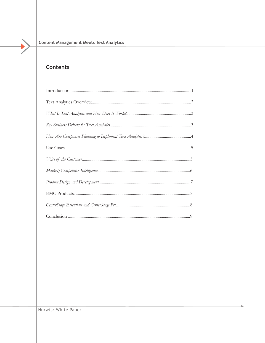# **Contents**

 $\blacktriangleright$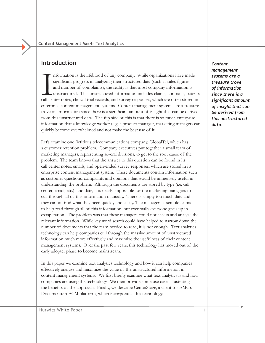# **Introduction**

Information is the lifeblood of any company. While organizations have made significant progress in analyzing their structured data (such as sales figures and number of complaints), the reality is that most company informat nformation is the lifeblood of any company. While organizations have made significant progress in analyzing their structured data (such as sales figures and number of complaints), the reality is that most company information is unstructured. This unstructured information includes claims, contracts, patents, enterprise content management systems. Content management systems are a treasure trove of information since there is a significant amount of insight that can be derived from this unstructured data. The flip side of this is that there is so much enterprise information that a knowledge worker (e.g. a product manager, marketing manager) can quickly become overwhelmed and not make the best use of it.

Let's examine one fictitious telecommunications company, GlobalTel, which has a customer retention problem. Company executives put together a small team of marketing managers, representing several divisions, to get to the root cause of the problem. The team knows that the answer to this question can be found in its call center notes, emails, and open-ended survey responses, which are stored in its enterprise content management system. These documents contain information such as customer questions, complaints and opinions that would be immensely useful in understanding the problem. Although the documents are stored by type (i.e. call center, email, etc.) and date, it is nearly impossible for the marketing managers to cull through all of this information manually. There is simply too much data and they cannot find what they need quickly and easily. The managers assemble teams to help read through all of this information, but eventually everyone gives up in exasperation. The problem was that these managers could not access and analyze the relevant information. While key word search could have helped to narrow down the number of documents that the team needed to read, it is not enough. Text analytics technology can help companies cull through the massive amount of unstructured information much more effectively and maximize the usefulness of their content management systems. Over the past few years, this technology has moved out of the early adopter phase to become mainstream.

In this paper we examine text analytics technology and how it can help companies effectively analyze and maximize the value of the unstructured information in content management systems. We first briefly examine what text analytics is and how companies are using the technology. We then provide some use cases illustrating the benefits of the approach. Finally, we describe CenterStage, a client for EMC's Documentum ECM platform, which incorporates this technology.

*Content management systems are a treasure trove of information since there is a significant amount of insight that can be derived from this unstructured data.*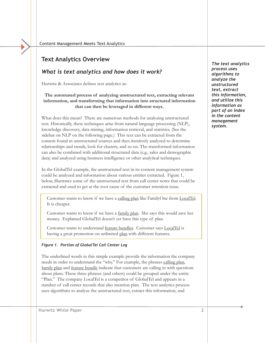# **Text Analytics Overview**

### *What is text analytics and how does it work?*

Hurwitz & Associates defines text analytics as:

#### **The automated process of analyzing unstructured text, extracting relevant information, and transforming that information into structured information that can then be leveraged in different ways.**

What does this mean? There are numerous methods for analyzing unstructured text. Historically, these techniques arise from natural language processing (NLP), knowledge discovery, data mining, information retrieval, and statistics. (See the sidebar on NLP on the following page.) This text can be extracted from the content found in unstructured sources and then iteratively analyzed to determine relationships and trends, look for clusters, and so on. The transformed information can also be combined with additional structured data (e.g., sales and demographic data) and analyzed using business intelligence or other analytical techniques.

In the GlobalTel example, the unstructured text in its content management system could be analyzed and information about various entities extracted. Figure 1, below, illustrates some of the unstructured text from call center notes that could be extracted and used to get at the root cause of the customer retention issue.

Customer wants to know if we have a calling plan like FamilyOne from LocalTel. It is cheaper.

Customer wants to know if we have a family plan. She says this would save her money. Explained GlobalTel doesn't yet have this type of plan.

Customer wants to understand feature bundles. Customer says LocalTel is having a great promotion on unlimited plan with different features.

#### *Figure 1. Portion of GlobalTel Call Center Log*

The underlined words in this simple example provide the information the company needs in order to understand the "why." For example, the phrases calling plan, family plan and feature bundle indicate that customers are calling in with questions about plans. These three phrases (and others) could be grouped under the entity "Plan." The company LocalTel is a competitor of GlobalTel and appears in a number of call center records that also mention plan. The text analytics process uses algorithms to analyze the unstructured text, extract this information, and

*The text analytics process uses algorithms to analyze the unstructured text, extract this information, and utilize this information as part of an index in the content management system.*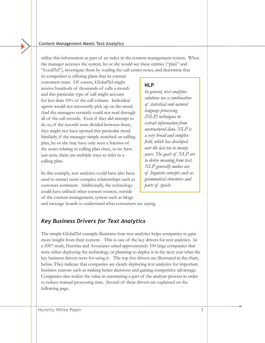utilize this information as part of an index in the content management system. When the manager accesses the system, he or she would see these entities ("plan" and "LocalTel"), investigate them by reading the call center notes, and determine that

its competitor is offering plans that its current customers want. Of course, GlobalTel might receive hundreds of thousands of calls a month and this particular type of call might account for less than 10% of the call volume. Individual agents would not necessarily pick up on the trend. And the managers certainly could not read through all of the call records. Even if they did attempt to do so, if the records were divided between them, they might not have spotted this particular trend. Similarly, if the manager simply searched on calling plan, he or she may have only seen a fraction of the notes relating to calling plan since, as we have just seen, there are multiple ways to refer to a calling plan.

In this example, text analytics could have also been used to extract more complex relationships such as customer sentiment. Additionally, the technology could have utilized other content sources, outside of the content management, system such as blogs

### **NLP**

*In general, text analytics solutions use a combination of statistical and natural language processing (NLP) techniques to extract information from unstructured data. NLP is a very broad and complex field, which has developed over the last ten to twenty years. The goals of NLP are to derive meaning from text. NLP generally makes use of linguistic concepts such as grammatical structures and parts of speech.*

and message boards to understand what consumers are saying.

## *Key Business Drivers for Text Analytics*

The simple GlobalTel example illustrates how text analytics helps companies to gain more insight from their content. This is one of the key drivers for text analytics. In a 2007 study, Hurwitz and Associates asked approximately 100 large companies that were either deploying the technology or planning to deploy it in the next year what the key business drivers were for using it. The top five drivers are illustrated in the chart, below. They indicate that companies are clearly deploying text analytics for important business reasons such as making better decisions and gaining competitive advantage. Companies also realize the value in automating a part of the analysis process in order to reduce manual processing time. Several of these drivers are explained on the following page.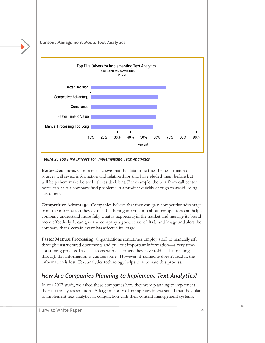

*Figure 2. Top Five Drivers for Implementing Text Analytics* 

**Better Decisions.** Companies believe that the data to be found in unstructured sources will reveal information and relationships that have eluded them before but will help them make better business decisions. For example, the text from call center notes can help a company find problems in a product quickly enough to avoid losing customers.

**Competitive Advantage.** Companies believe that they can gain competitive advantage from the information they extract. Gathering information about competitors can help a company understand more fully what is happening in the market and manage its brand more effectively. It can give the company a good sense of its brand image and alert the company that a certain event has affected its image.

**Faster Manual Processing.** Organizations sometimes employ staff to manually sift through unstructured documents and pull out important information—a very timeconsuming process. In discussions with customers they have told us that reading through this information is cumbersome. However, if someone doesn't read it, the information is lost. Text analytics technology helps to automate this process.

# *How Are Companies Planning to Implement Text Analytics?*

In our 2007 study, we asked these companies how they were planning to implement their text analytics solution. A large majority of companies (62%) stated that they plan to implement text analytics in conjunction with their content management systems.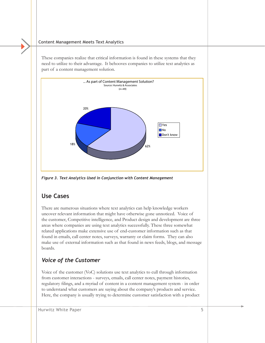These companies realize that critical information is found in these systems that they need to utilize to their advantage. It behooves companies to utilize text analytics as part of a content management solution.



*Figure 3. Text Analytics Used in Conjunction with Content Management*

# **Use Cases**

There are numerous situations where text analytics can help knowledge workers uncover relevant information that might have otherwise gone unnoticed. Voice of the customer, Competitive intelligence, and Product design and development are three areas where companies are using text analytics successfully. These three somewhat related applications make extensive use of end-customer information such as that found in emails, call center notes, surveys, warranty or claim forms. They can also make use of external information such as that found in news feeds, blogs, and message boards.

# *Voice of the Customer*

Voice of the customer (VoC) solutions use text analytics to cull through information from customer interactions - surveys, emails, call center notes, payment histories, regulatory filings, and a myriad of content in a content management system - in order to understand what customers are saying about the company's products and service. Here, the company is usually trying to determine customer satisfaction with a product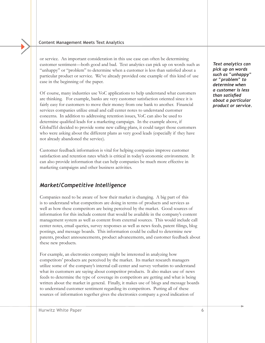or service. An important consideration in this use case can often be determining customer sentiment—both good and bad. Text analytics can pick up on words such as "unhappy" or "problem" to determine when a customer is less than satisfied about a particular product or service. We've already provided one example of this kind of use case in the beginning of the paper.

Of course, many industries use VoC applications to help understand what customers are thinking. For example, banks are very customer satisfaction oriented since it is fairly easy for customers to move their money from one bank to another. Financial services companies utilize email and call center notes to understand customer concerns. In addition to addressing retention issues, VoC can also be used to determine qualified leads for a marketing campaign. In the example above, if GlobalTel decided to provide some new calling plans, it could target those customers who were asking about the different plans as very good leads (especially if they have not already abandoned the service).

Customer feedback information is vital for helping companies improve customer satisfaction and retention rates which is critical in today's economic environment. It can also provide information that can help companies be much more effective in marketing campaigns and other business activities.

### *Market/Competitive Intelligence*

Companies need to be aware of how their market is changing. A big part of this is to understand what competitors are doing in terms of products and services as well as how these competitors are being perceived by the market. Good sources of information for this include content that would be available in the company's content management system as well as content from external sources. This would include call center notes, email queries, survey responses as well as news feeds, patent filings, blog postings, and message boards. This information could be culled to determine new patents, product announcements, product advancements, and customer feedback about these new products.

For example, an electronics company might be interested in analyzing how competitors' products are perceived by the market. Its market research managers utilize some of the company's internal call center and survey verbatim to understand what its customers are saying about competitor products. It also makes use of news feeds to determine the type of coverage its competitors are getting and what is being written about the market in general. Finally, it makes use of blogs and message boards to understand customer sentiment regarding its competitors. Putting all of these sources of information together gives the electronics company a good indication of

*Text analytics can pick up on words such as "unhappy" or "problem" to determine when a customer is less than satisfied about a particular product or service.*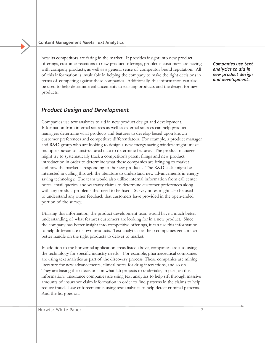how its competitors are faring in the market. It provides insight into new product offerings, customer reactions to new product offerings, problems customers are having with company products, as well as a general sense of competitor brand reputation. All of this information is invaluable in helping the company to make the right decisions in terms of competing against these companies. Additionally, this information can also be used to help determine enhancements to existing products and the design for new products.

### *Product Design and Development*

Companies use text analytics to aid in new product design and development. Information from internal sources as well as external sources can help product managers determine what products and features to develop based upon known customer preferences and competitive differentiators. For example, a product manager and R&D group who are looking to design a new energy saving window might utilize multiple sources of unstructured data to determine features. The product manager might try to systematically track a competitor's patent filings and new product introduction in order to determine what these companies are bringing to market and how the market is responding to the new products. The R&D staff might be interested in culling through the literature to understand new advancements in energy saving technology. The team would also utilize internal information from call center notes, email queries, and warranty claims to determine customer preferences along with any product problems that need to be fixed. Survey notes might also be used to understand any other feedback that customers have provided in the open-ended portion of the survey.

Utilizing this information, the product development team would have a much better understanding of what features customers are looking for in a new product. Since the company has better insight into competitive offerings, it can use this information to help differentiate its own products. Text analytics can help companies get a much better handle on the right products to deliver to market.

In addition to the horizontal application areas listed above, companies are also using the technology for specific industry needs. For example, pharmaceutical companies are using text analytics as part of the discovery process. These companies are mining literature for new advancements, clinical notes for drug interactions, and so on. They are basing their decisions on what lab projects to undertake, in part, on this information. Insurance companies are using text analytics to help sift through massive amounts of insurance claim information in order to find patterns in the claims to help reduce fraud. Law enforcement is using text analytics to help detect criminal patterns. And the list goes on.

*Companies use text analytics to aid in new product design and development.*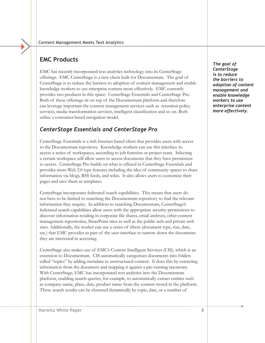# **EMC Products**

EMC has recently incorporated text analytics technology into its CenterStage offerings. EMC CenterStage is a new client built for Documentum. The goal of CenterStage is to reduce the barriers to adoption of content management and enable knowledge workers to use enterprise content more effectively. EMC currently provides two products in this space: CenterStage Essentials and CenterStage Pro. Both of these offerings sit on top of the Documentum platform and therefore can leverage important the content management services such as retention policy services, media transformation services, intelligent classification and so on. Both utilize a consumer-based navigation model.

# *CenterStage Essentials and CenterStage Pro*

CenterStage Essentials is a rich Internet based client that provides users with access to the Documentum repository. Knowledge workers can use this interface to access a series of workspaces, according to job function or project team. Selecting a certain workspace will allow users to access documents that they have permission to access. CenterStage Pro builds on what is offered in CenterStage Essentials and provides more Web 2.0 type features including the idea of community spaces to share information via blogs, RSS feeds, and wikis. It also allows users to customize their pages and save them as templates.

CenterStage incorporates federated search capabilities. This means that users do not have to be limited to searching the Documentum repository to find the relevant information they require. In addition to searching Documentum, CenterStage's federated search capabilities allow users with the appropriate security permissions to discover information residing in corporate file shares, email archives, other content management repositories, SharePoint sites as well as the public web and private web sites. Additionally, the worker can use a series of filters (document type, size, date, etc.) that EMC provides as part of the user interface to narrow down the documents they are interested in accessing.

CenterStage also makes use of EMC's Content Intelligent Services (CIS), which is an extension to Documentum. CIS automatically categorizes documents into folders called "topics" by adding metadata to unstructured content. It does this by extracting information from the document and mapping it against a pre-existing taxonomy. With CenterStage, EMC has incorporated text analytics into the Documentum platform, enabling search queries, for example, to automatically extract entities such as company name, place, date, product name from the content stored in the platform. Those search results can be clustered dynamically by topic, date, or a number of

*The goal of CenterStage is to reduce the barriers to adoption of content management and enable knowledge workers to use enterprise content more effectively.*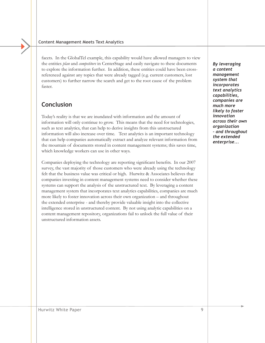facets. In the GlobalTel example, this capability would have allowed managers to view the entities *plan* and *competitors* in CenterStage and easily navigate to these documents to explore the information further. In addition, these entities could have been crossreferenced against any topics that were already tagged (e.g. current customers, lost customers) to further narrow the search and get to the root cause of the problem faster.

# **Conclusion**

Today's reality is that we are inundated with information and the amount of information will only continue to grow. This means that the need for technologies, such as text analytics, that can help to derive insights from this unstructured information will also increase over time. Text analytics is an important technology that can help companies automatically extract and analyze relevant information from the mountain of documents stored in content management systems; this saves time, which knowledge workers can use in other ways.

Companies deploying the technology are reporting significant benefits. In our 2007 survey, the vast majority of those customers who were already using the technology felt that the business value was critical or high. Hurwitz & Associates believes that companies investing in content management systems need to consider whether these systems can support the analysis of the unstructured text. By leveraging a content management system that incorporates text analytics capabilities, companies are much more likely to foster innovation across their own organization – and throughout the extended enterprise - and thereby provide valuable insight into the collective intelligence stored in unstructured content. By not using analytic capabilities on a content management repository, organizations fail to unlock the full value of their unstructured information assets.

*By leveraging a content management system that incorporates text analytics capabilities, companies are much more likely to foster innovation across their own organization – and throughout the extended enterprise...*